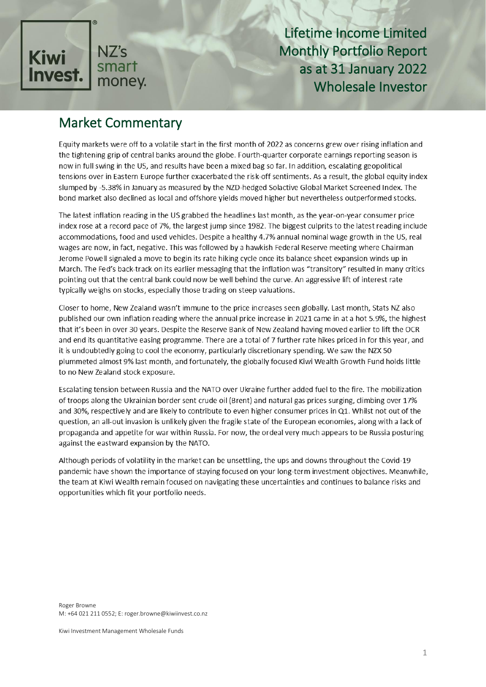

# Market Commentary

Equity markets were off to a volatile start in the first month of 2022 as concerns grew over rising inflation and the tightening grip of central banks around the globe. Fourth-quarter corporate earnings reporting season is now in full swing in the US, and results have been a mixed bag so far. In addition, escalating geopolitical tensions over in Eastern Europe further exacerbated the risk-off sentiments. As a result, the global equity index slumped by -5.38% in January as measured by the NZD-hedged Solactive Global Market Screened Index. The bond market also declined as local and offshore yields moved higher but nevertheless outperformed stocks.

The latest inflation reading in the US grabbed the headlines last month, as the year-on-year consumer price index rose at a record pace of 7%, the largest jump since 1982. The biggest culprits to the latest reading include accommodations, food and used vehicles. Despite a healthy 4.7% annual nominal wage growth in the US, real wages are now, in fact, negative. This was followed by a hawkish Federal Reserve meeting where Chairman Jerome Powell signaled a move to begin its rate hiking cycle once its balance sheet expansion winds up in March. The Fed's back-track on its earlier messaging that the inflation was "transitory" resulted in many critics pointing out that the central bank could now be well behind the curve. An aggressive lift of interest rate typically weighs on stocks, especially those trading on steep valuations.

Closer to home, New Zealand wasn't immune to the price increases seen globally. Last month, Stats NZ also published our own inflation reading where the annual price increase in 2021 came in at a hot 5.9%, the highest that it's been in over 30 years. Despite the Reserve Bank of New Zealand having moved earlier to lift the OCR and end its quantitative easing programme. There are a total of 7 further rate hikes priced in for this year, and it is undoubtedly going to cool the economy, particularly discretionary spending. We saw the NZX 50 plummeted almost 9% last month, and fortunately, the globally focused Kiwi Wealth Growth Fund holds little to no New Zealand stock exposure.

Escalating tension between Russia and the NATO over Ukraine further added fuel to the fire. The mobilization of troops along the Ukrainian border sent crude oil (Brent) and natural gas prices surging, climbing over 17% and 30%, respectively and are likely to contribute to even higher consumer prices in Q1. Whilst not out of the question, an all-out invasion is unlikely given the fragile state of the European economies, along with a lack of propaganda and appetite for war within Russia. For now, the ordeal very much appears to be Russia posturing against the eastward expansion by the NATO.

Although periods of volatility in the market can be unsettling, the ups and downs throughout the Covid-19 pandemic have shown the importance of staying focused on your long-term investment objectives. Meanwhile, the team at Kiwi Wealth remain focused on navigating these uncertainties and continues to balance risks and opportunities which fit your portfolio needs.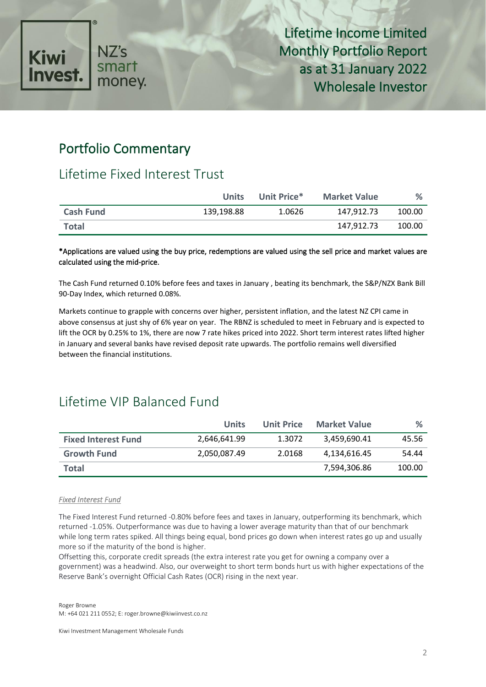

## Portfolio Commentary

# Lifetime Fixed Interest Trust

|                  | <b>Units</b> | Unit Price* | <b>Market Value</b> | $\%$   |
|------------------|--------------|-------------|---------------------|--------|
| <b>Cash Fund</b> | 139,198.88   | 1.0626      | 147.912.73          | 100.00 |
| <b>Total</b>     |              |             | 147.912.73          | 100.00 |

### \*Applications are valued using the buy price, redemptions are valued using the sell price and market values are calculated using the mid-price.

The Cash Fund returned 0.10% before fees and taxes in January , beating its benchmark, the S&P/NZX Bank Bill 90-Day Index, which returned 0.08%.

Markets continue to grapple with concerns over higher, persistent inflation, and the latest NZ CPI came in above consensus at just shy of 6% year on year. The RBNZ is scheduled to meet in February and is expected to lift the OCR by 0.25% to 1%, there are now 7 rate hikes priced into 2022. Short term interest rates lifted higher in January and several banks have revised deposit rate upwards. The portfolio remains well diversified between the financial institutions.

# Lifetime VIP Balanced Fund

|                            | Units        | Unit Price | <b>Market Value</b> | %      |
|----------------------------|--------------|------------|---------------------|--------|
| <b>Fixed Interest Fund</b> | 2,646,641.99 | 1.3072     | 3,459,690.41        | 45.56  |
| <b>Growth Fund</b>         | 2,050,087.49 | 2.0168     | 4,134,616.45        | 54.44  |
| <b>Total</b>               |              |            | 7,594,306.86        | 100.00 |

### *Fixed Interest Fund*

The Fixed Interest Fund returned -0.80% before fees and taxes in January, outperforming its benchmark, which returned -1.05%. Outperformance was due to having a lower average maturity than that of our benchmark while long term rates spiked. All things being equal, bond prices go down when interest rates go up and usually more so if the maturity of the bond is higher.

Offsetting this, corporate credit spreads (the extra interest rate you get for owning a company over a government) was a headwind. Also, our overweight to short term bonds hurt us with higher expectations of the Reserve Bank's overnight Official Cash Rates (OCR) rising in the next year.

Roger Browne M: +64 021 211 0552; E: roger.browne@kiwiinvest.co.nz

Kiwi Investment Management Wholesale Funds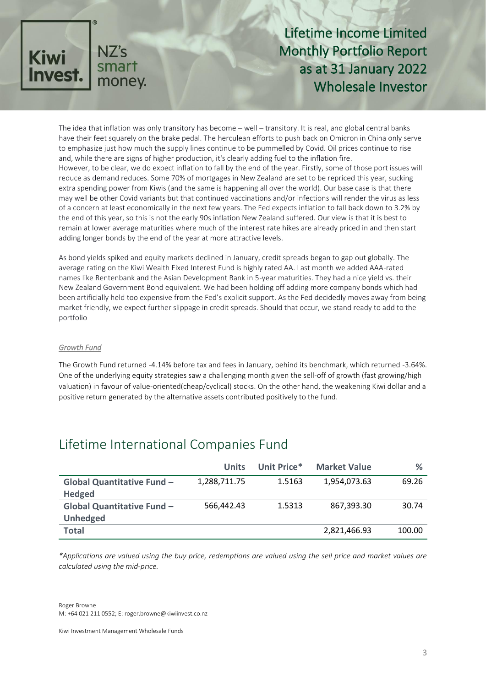

The idea that inflation was only transitory has become – well – transitory. It is real, and global central banks have their feet squarely on the brake pedal. The herculean efforts to push back on Omicron in China only serve to emphasize just how much the supply lines continue to be pummelled by Covid. Oil prices continue to rise and, while there are signs of higher production, it's clearly adding fuel to the inflation fire. However, to be clear, we do expect inflation to fall by the end of the year. Firstly, some of those port issues will reduce as demand reduces. Some 70% of mortgages in New Zealand are set to be repriced this year, sucking extra spending power from Kiwis (and the same is happening all over the world). Our base case is that there may well be other Covid variants but that continued vaccinations and/or infections will render the virus as less of a concern at least economically in the next few years. The Fed expects inflation to fall back down to 3.2% by the end of this year, so this is not the early 90s inflation New Zealand suffered. Our view is that it is best to remain at lower average maturities where much of the interest rate hikes are already priced in and then start adding longer bonds by the end of the year at more attractive levels.

As bond yields spiked and equity markets declined in January, credit spreads began to gap out globally. The average rating on the Kiwi Wealth Fixed Interest Fund is highly rated AA. Last month we added AAA-rated names like Rentenbank and the Asian Development Bank in 5-year maturities. They had a nice yield vs. their New Zealand Government Bond equivalent. We had been holding off adding more company bonds which had been artificially held too expensive from the Fed's explicit support. As the Fed decidedly moves away from being market friendly, we expect further slippage in credit spreads. Should that occur, we stand ready to add to the portfolio

#### *Growth Fund*

The Growth Fund returned -4.14% before tax and fees in January, behind its benchmark, which returned -3.64%. One of the underlying equity strategies saw a challenging month given the sell-off of growth (fast growing/high valuation) in favour of value-oriented(cheap/cyclical) stocks. On the other hand, the weakening Kiwi dollar and a positive return generated by the alternative assets contributed positively to the fund.

## Lifetime International Companies Fund

|                                   | <b>Units</b> | Unit Price* | <b>Market Value</b> | %      |
|-----------------------------------|--------------|-------------|---------------------|--------|
| <b>Global Quantitative Fund -</b> | 1,288,711.75 | 1.5163      | 1,954,073.63        | 69.26  |
| <b>Hedged</b>                     |              |             |                     |        |
| <b>Global Quantitative Fund -</b> | 566,442.43   | 1.5313      | 867,393.30          | 30.74  |
| <b>Unhedged</b>                   |              |             |                     |        |
| <b>Total</b>                      |              |             | 2,821,466.93        | 100.00 |

*\*Applications are valued using the buy price, redemptions are valued using the sell price and market values are calculated using the mid-price.*

Roger Browne M: +64 021 211 0552; E: roger.browne@kiwiinvest.co.nz

Kiwi Investment Management Wholesale Funds